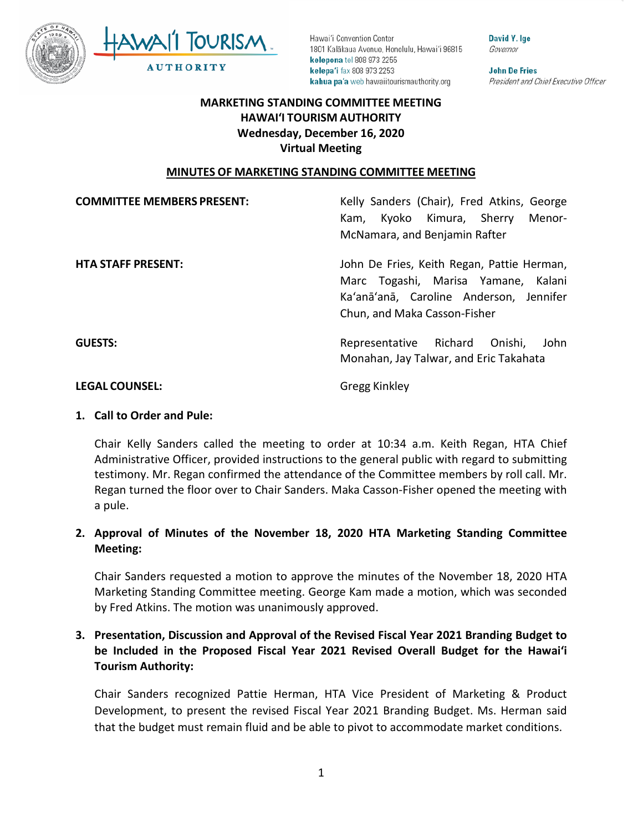



David Y. Ige Governor

**John De Fries** President and Chief Executive Officer

# **HAWAI'I TOURISM AUTHORITY MARKETING STANDING COMMITTEE MEETING Wednesday, December 16, 2020 Virtual Meeting**

#### **MINUTES OF MARKETING STANDING COMMITTEE MEETING**

| <b>COMMITTEE MEMBERS PRESENT:</b> | Kelly Sanders (Chair), Fred Atkins, George<br>Kyoko Kimura, Sherry<br>Menor-<br>Kam.<br>McNamara, and Benjamin Rafter                                        |
|-----------------------------------|--------------------------------------------------------------------------------------------------------------------------------------------------------------|
| <b>HTA STAFF PRESENT:</b>         | John De Fries, Keith Regan, Pattie Herman,<br>Marc Togashi, Marisa Yamane, Kalani<br>Ka'anā'anā, Caroline Anderson, Jennifer<br>Chun, and Maka Casson-Fisher |
| <b>GUESTS:</b>                    | Representative Richard Onishi,<br>John<br>Monahan, Jay Talwar, and Eric Takahata                                                                             |
| <b>LEGAL COUNSEL:</b>             | <b>Gregg Kinkley</b>                                                                                                                                         |

 **1. Call to Order and Pule:** 

 Regan turned the floor over to Chair Sanders. Maka Casson-Fisher opened the meeting with Chair Kelly Sanders called the meeting to order at 10:34 a.m. Keith Regan, HTA Chief Administrative Officer, provided instructions to the general public with regard to submitting testimony. Mr. Regan confirmed the attendance of the Committee members by roll call. Mr. a pule.

#### **2. Approval of Minutes of the November 18, 2020 HTA Marketing Standing Committee Meeting:**

Chair Sanders requested a motion to approve the minutes of the November 18, 2020 HTA Marketing Standing Committee meeting. George Kam made a motion, which was seconded by Fred Atkins. The motion was unanimously approved.

# **be Included in the Proposed Fiscal Year 2021 Revised Overall Budget for the Hawai'i 3. Presentation, Discussion and Approval of the Revised Fiscal Year 2021 Branding Budget to Tourism Authority:**

 that the budget must remain fluid and be able to pivot to accommodate market conditions. Chair Sanders recognized Pattie Herman, HTA Vice President of Marketing & Product Development, to present the revised Fiscal Year 2021 Branding Budget. Ms. Herman said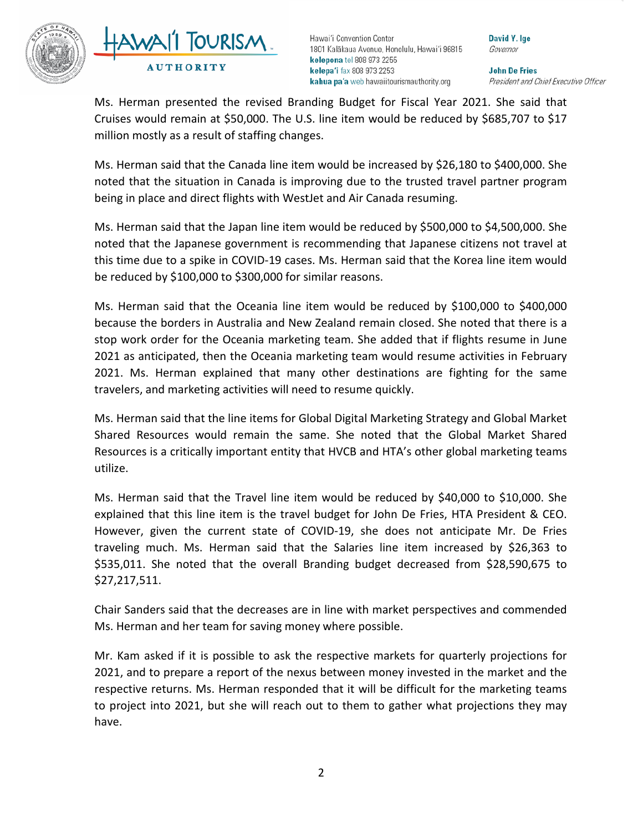



David Y. Ige Governor

**John De Fries** President and Chief Executive Officer

 Cruises would remain at \$50,000. The U.S. line item would be reduced by \$685,707 to \$17 Ms. Herman presented the revised Branding Budget for Fiscal Year 2021. She said that million mostly as a result of staffing changes.

 noted that the situation in Canada is improving due to the trusted travel partner program being in place and direct flights with WestJet and Air Canada resuming. Ms. Herman said that the Canada line item would be increased by \$26,180 to \$400,000. She

 this time due to a spike in COVID-19 cases. Ms. Herman said that the Korea line item would Ms. Herman said that the Japan line item would be reduced by \$500,000 to \$4,500,000. She noted that the Japanese government is recommending that Japanese citizens not travel at be reduced by \$100,000 to \$300,000 for similar reasons.

 2021. Ms. Herman explained that many other destinations are fighting for the same travelers, and marketing activities will need to resume quickly. Ms. Herman said that the Oceania line item would be reduced by \$100,000 to \$400,000 because the borders in Australia and New Zealand remain closed. She noted that there is a stop work order for the Oceania marketing team. She added that if flights resume in June 2021 as anticipated, then the Oceania marketing team would resume activities in February

Ms. Herman said that the line items for Global Digital Marketing Strategy and Global Market Shared Resources would remain the same. She noted that the Global Market Shared Resources is a critically important entity that HVCB and HTA's other global marketing teams utilize.

 Ms. Herman said that the Travel line item would be reduced by \$40,000 to \$10,000. She traveling much. Ms. Herman said that the Salaries line item increased by \$26,363 to explained that this line item is the travel budget for John De Fries, HTA President & CEO. However, given the current state of COVID-19, she does not anticipate Mr. De Fries \$535,011. She noted that the overall Branding budget decreased from \$28,590,675 to \$27,217,511.

 Ms. Herman and her team for saving money where possible. Chair Sanders said that the decreases are in line with market perspectives and commended

 respective returns. Ms. Herman responded that it will be difficult for the marketing teams to project into 2021, but she will reach out to them to gather what projections they may Mr. Kam asked if it is possible to ask the respective markets for quarterly projections for 2021, and to prepare a report of the nexus between money invested in the market and the have.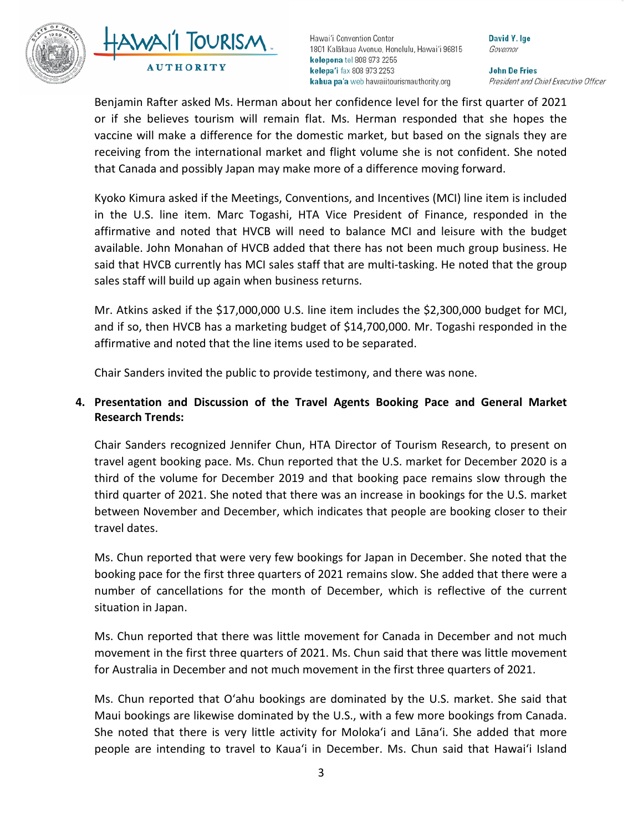



David Y. Ige Governor

**John De Fries** President and Chief Executive Officer

 or if she believes tourism will remain flat. Ms. Herman responded that she hopes the receiving from the international market and flight volume she is not confident. She noted that Canada and possibly Japan may make more of a difference moving forward. Benjamin Rafter asked Ms. Herman about her confidence level for the first quarter of 2021 vaccine will make a difference for the domestic market, but based on the signals they are

Kyoko Kimura asked if the Meetings, Conventions, and Incentives (MCI) line item is included in the U.S. line item. Marc Togashi, HTA Vice President of Finance, responded in the affirmative and noted that HVCB will need to balance MCI and leisure with the budget available. John Monahan of HVCB added that there has not been much group business. He said that HVCB currently has MCI sales staff that are multi-tasking. He noted that the group sales staff will build up again when business returns.

 Mr. Atkins asked if the \$17,000,000 U.S. line item includes the \$2,300,000 budget for MCI, and if so, then HVCB has a marketing budget of \$14,700,000. Mr. Togashi responded in the affirmative and noted that the line items used to be separated.

Chair Sanders invited the public to provide testimony, and there was none.

# **4. Presentation and Discussion of the Travel Agents Booking Pace and General Market Research Trends:**

 third of the volume for December 2019 and that booking pace remains slow through the third quarter of 2021. She noted that there was an increase in bookings for the U.S. market Chair Sanders recognized Jennifer Chun, HTA Director of Tourism Research, to present on travel agent booking pace. Ms. Chun reported that the U.S. market for December 2020 is a between November and December, which indicates that people are booking closer to their travel dates.

 booking pace for the first three quarters of 2021 remains slow. She added that there were a number of cancellations for the month of December, which is reflective of the current situation in Japan. Ms. Chun reported that were very few bookings for Japan in December. She noted that the

 Ms. Chun reported that there was little movement for Canada in December and not much movement in the first three quarters of 2021. Ms. Chun said that there was little movement for Australia in December and not much movement in the first three quarters of 2021.

 Ms. Chun reported that Oʻahu bookings are dominated by the U.S. market. She said that She noted that there is very little activity for Molokaʻi and Lānaʻi. She added that more people are intending to travel to Kauaʻi in December. Ms. Chun said that Hawaiʻi Island Maui bookings are likewise dominated by the U.S., with a few more bookings from Canada.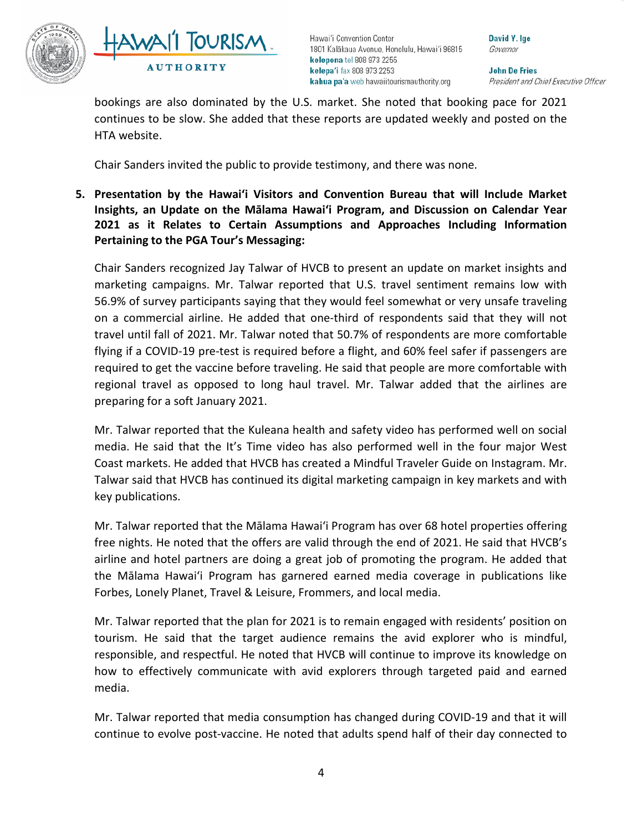



David Y. Ige Governor

**John De Fries** President and Chief Executive Officer

bookings are also dominated by the U.S. market. She noted that booking pace for 2021 continues to be slow. She added that these reports are updated weekly and posted on the HTA website.

Chair Sanders invited the public to provide testimony, and there was none.

 **Insights, an Update on the Mālama Hawai'i Program, and Discussion on Calendar Year 5. Presentation by the Hawai'i Visitors and Convention Bureau that will Include Market 2021 as it Relates to Certain Assumptions and Approaches Including Information Pertaining to the PGA Tour's Messaging:** 

 marketing campaigns. Mr. Talwar reported that U.S. travel sentiment remains low with Chair Sanders recognized Jay Talwar of HVCB to present an update on market insights and 56.9% of survey participants saying that they would feel somewhat or very unsafe traveling on a commercial airline. He added that one-third of respondents said that they will not travel until fall of 2021. Mr. Talwar noted that 50.7% of respondents are more comfortable flying if a COVID-19 pre-test is required before a flight, and 60% feel safer if passengers are required to get the vaccine before traveling. He said that people are more comfortable with regional travel as opposed to long haul travel. Mr. Talwar added that the airlines are preparing for a soft January 2021.

 Coast markets. He added that HVCB has created a Mindful Traveler Guide on Instagram. Mr. Mr. Talwar reported that the Kuleana health and safety video has performed well on social media. He said that the It's Time video has also performed well in the four major West Talwar said that HVCB has continued its digital marketing campaign in key markets and with key publications.

Mr. Talwar reported that the Mālama Hawaiʻi Program has over 68 hotel properties offering free nights. He noted that the offers are valid through the end of 2021. He said that HVCB's airline and hotel partners are doing a great job of promoting the program. He added that the Mālama Hawaiʻi Program has garnered earned media coverage in publications like Forbes, Lonely Planet, Travel & Leisure, Frommers, and local media.

 Mr. Talwar reported that the plan for 2021 is to remain engaged with residents' position on tourism. He said that the target audience remains the avid explorer who is mindful, responsible, and respectful. He noted that HVCB will continue to improve its knowledge on how to effectively communicate with avid explorers through targeted paid and earned media.

 Mr. Talwar reported that media consumption has changed during COVID-19 and that it will continue to evolve post-vaccine. He noted that adults spend half of their day connected to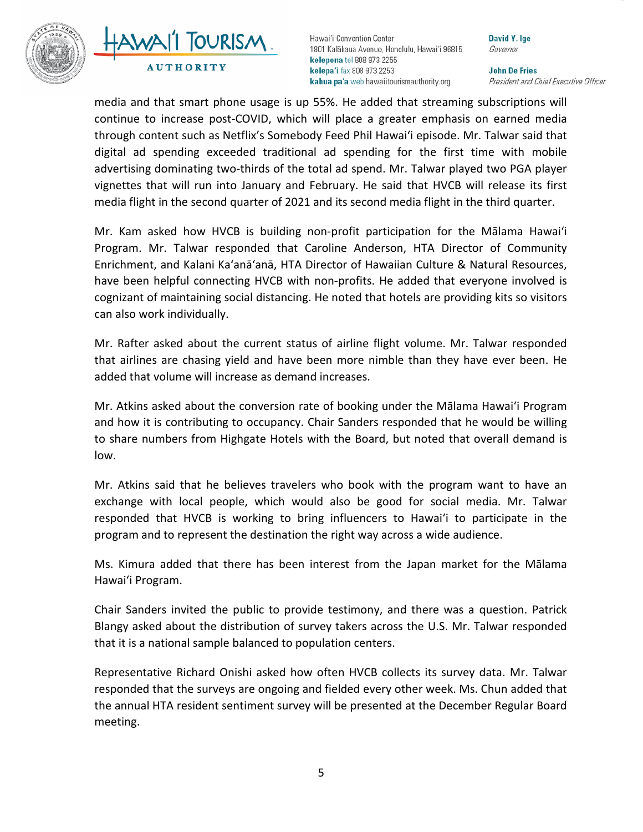



David Y. Ige Governor

**John De Fries** President and Chief Executive Officer

 advertising dominating two-thirds of the total ad spend. Mr. Talwar played two PGA player vignettes that will run into January and February. He said that HVCB will release its first media flight in the second quarter of 2021 and its second media flight in the third quarter. media and that smart phone usage is up 55%. He added that streaming subscriptions will continue to increase post-COVID, which will place a greater emphasis on earned media through content such as Netflix's Somebody Feed Phil Hawaiʻi episode. Mr. Talwar said that digital ad spending exceeded traditional ad spending for the first time with mobile

Mr. Kam asked how HVCB is building non-profit participation for the Mālama Hawaiʻi Program. Mr. Talwar responded that Caroline Anderson, HTA Director of Community Enrichment, and Kalani Ka'anā'anā, HTA Director of Hawaiian Culture & Natural Resources, have been helpful connecting HVCB with non-profits. He added that everyone involved is cognizant of maintaining social distancing. He noted that hotels are providing kits so visitors can also work individually.

Mr. Rafter asked about the current status of airline flight volume. Mr. Talwar responded that airlines are chasing yield and have been more nimble than they have ever been. He added that volume will increase as demand increases.

 Mr. Atkins asked about the conversion rate of booking under the Mālama Hawaiʻi Program and how it is contributing to occupancy. Chair Sanders responded that he would be willing to share numbers from Highgate Hotels with the Board, but noted that overall demand is low.

 Mr. Atkins said that he believes travelers who book with the program want to have an responded that HVCB is working to bring influencers to Hawaiʻi to participate in the program and to represent the destination the right way across a wide audience. exchange with local people, which would also be good for social media. Mr. Talwar

Ms. Kimura added that there has been interest from the Japan market for the Mālama Hawaiʻi Program.

 that it is a national sample balanced to population centers. Chair Sanders invited the public to provide testimony, and there was a question. Patrick Blangy asked about the distribution of survey takers across the U.S. Mr. Talwar responded

 the annual HTA resident sentiment survey will be presented at the December Regular Board Representative Richard Onishi asked how often HVCB collects its survey data. Mr. Talwar responded that the surveys are ongoing and fielded every other week. Ms. Chun added that meeting.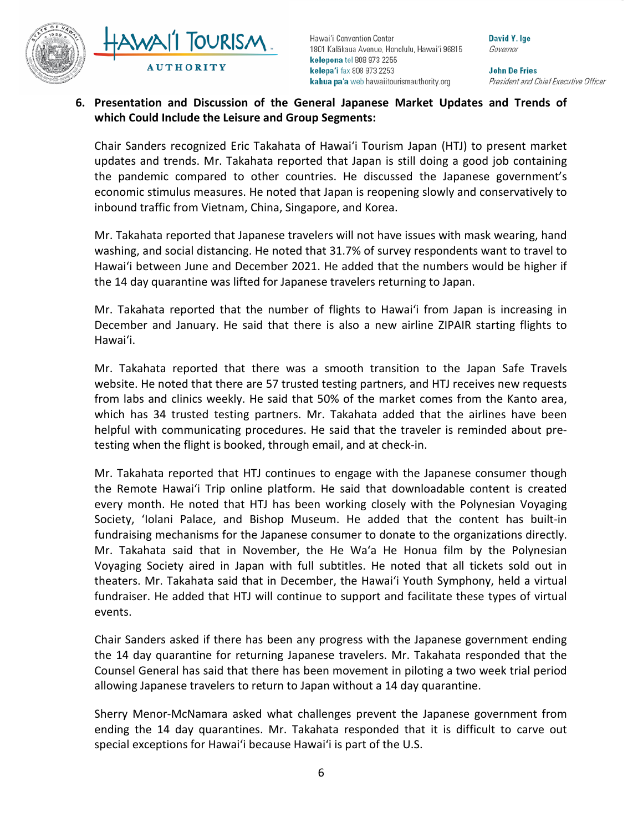

**TOURISM AUTHORITY** 

Hawai'i Convention Center 1801 Kalākaua Avenue, Honolulu, Hawai'i 96815 kelepona tel 808 973 2255 kelepa'i fax 808 973 2253 kahua pa'a web hawaiitourismauthority.org

David Y. Ige Governor

**John De Fries** President and Chief Executive Officer

# **6. Presentation and Discussion of the General Japanese Market Updates and Trends of which Could Include the Leisure and Group Segments:**

 inbound traffic from Vietnam, China, Singapore, and Korea. Chair Sanders recognized Eric Takahata of Hawaiʻi Tourism Japan (HTJ) to present market updates and trends. Mr. Takahata reported that Japan is still doing a good job containing the pandemic compared to other countries. He discussed the Japanese government's economic stimulus measures. He noted that Japan is reopening slowly and conservatively to

 Hawaiʻi between June and December 2021. He added that the numbers would be higher if the 14 day quarantine was lifted for Japanese travelers returning to Japan. Mr. Takahata reported that Japanese travelers will not have issues with mask wearing, hand washing, and social distancing. He noted that 31.7% of survey respondents want to travel to

 Mr. Takahata reported that the number of flights to Hawaiʻi from Japan is increasing in December and January. He said that there is also a new airline ZIPAIR starting flights to Hawaiʻi.

 which has 34 trusted testing partners. Mr. Takahata added that the airlines have been Mr. Takahata reported that there was a smooth transition to the Japan Safe Travels website. He noted that there are 57 trusted testing partners, and HTJ receives new requests from labs and clinics weekly. He said that 50% of the market comes from the Kanto area, helpful with communicating procedures. He said that the traveler is reminded about pretesting when the flight is booked, through email, and at check-in.

 Society, ʻIolani Palace, and Bishop Museum. He added that the content has built-in fundraiser. He added that HTJ will continue to support and facilitate these types of virtual Mr. Takahata reported that HTJ continues to engage with the Japanese consumer though the Remote Hawaiʻi Trip online platform. He said that downloadable content is created every month. He noted that HTJ has been working closely with the Polynesian Voyaging fundraising mechanisms for the Japanese consumer to donate to the organizations directly. Mr. Takahata said that in November, the He Waʻa He Honua film by the Polynesian Voyaging Society aired in Japan with full subtitles. He noted that all tickets sold out in theaters. Mr. Takahata said that in December, the Hawaiʻi Youth Symphony, held a virtual events.

Chair Sanders asked if there has been any progress with the Japanese government ending the 14 day quarantine for returning Japanese travelers. Mr. Takahata responded that the Counsel General has said that there has been movement in piloting a two week trial period allowing Japanese travelers to return to Japan without a 14 day quarantine.

 ending the 14 day quarantines. Mr. Takahata responded that it is difficult to carve out special exceptions for Hawaiʻi because Hawaiʻi is part of the U.S. Sherry Menor-McNamara asked what challenges prevent the Japanese government from